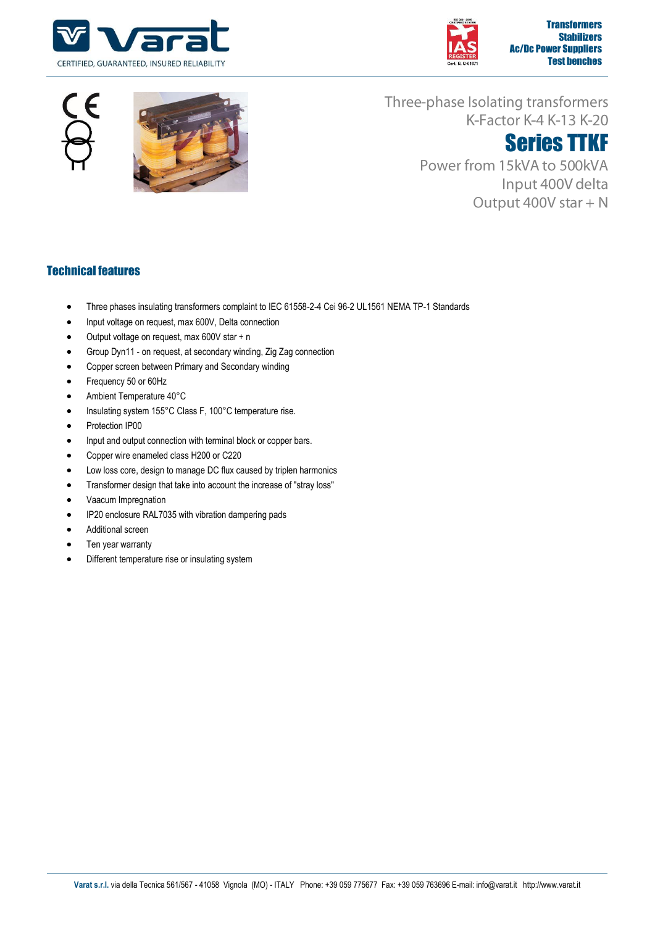







Three-phase Isolating transformers K-Factor K-4 K-13 K-20

# Series TTKF

Power from 15kVA to 500kVA Input 400V delta Output 400V star + N

### Technical features

- Three phases insulating transformers complaint to IEC 61558-2-4 Cei 96-2 UL1561 NEMA TP-1 Standards
- Input voltage on request, max 600V, Delta connection
- Output voltage on request, max 600V star + n
- Group Dyn11 on request, at secondary winding, Zig Zag connection
- Copper screen between Primary and Secondary winding
- Frequency 50 or 60Hz
- Ambient Temperature 40°C
- Insulating system 155°C Class F, 100°C temperature rise.
- Protection IP00
- Input and output connection with terminal block or copper bars.
- Copper wire enameled class H200 or C220
- Low loss core, design to manage DC flux caused by triplen harmonics
- Transformer design that take into account the increase of "stray loss"
- Vaacum Impregnation
- IP20 enclosure RAL7035 with vibration dampering pads
- Additional screen
- Ten year warranty
- Different temperature rise or insulating system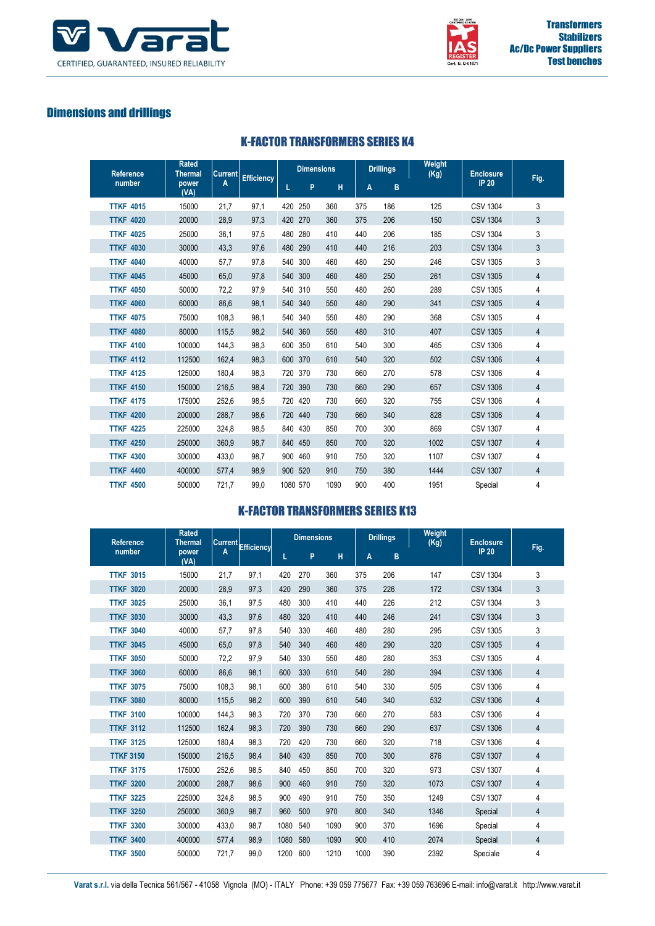



# Dimensions and drillings

|  | <b>K-FACTOR TRANSFORMERS SERIES K4</b> |  |
|--|----------------------------------------|--|
|--|----------------------------------------|--|

| <b>Rated</b><br><b>Reference</b><br><b>Thermal</b> |               | <b>Current</b> | <b>Efficiency</b> |     | <b>Dimensions</b> |      |     | <b>Drillings</b> | Weight<br>(Kg) | <b>Enclosure</b> | Fig.           |
|----------------------------------------------------|---------------|----------------|-------------------|-----|-------------------|------|-----|------------------|----------------|------------------|----------------|
| number                                             | power<br>(VA) | A              |                   | L   | P                 | н    | A   | B                |                | <b>IP 20</b>     |                |
| <b>TTKF 4015</b>                                   | 15000         | 21,7           | 97,1              | 420 | 250               | 360  | 375 | 186              | 125            | <b>CSV 1304</b>  | 3              |
| <b>TTKF 4020</b>                                   | 20000         | 28.9           | 97.3              |     | 420 270           | 360  | 375 | 206              | 150            | <b>CSV 1304</b>  | 3              |
| <b>TTKF 4025</b>                                   | 25000         | 36,1           | 97,5              |     | 480 280           | 410  | 440 | 206              | 185            | <b>CSV 1304</b>  | 3              |
| <b>TTKF 4030</b>                                   | 30000         | 43,3           | 97,6              |     | 480 290           | 410  | 440 | 216              | 203            | <b>CSV 1304</b>  | 3              |
| <b>TTKF 4040</b>                                   | 40000         | 57,7           | 97,8              |     | 540 300           | 460  | 480 | 250              | 246            | <b>CSV 1305</b>  | 3              |
| <b>TTKF 4045</b>                                   | 45000         | 65.0           | 97.8              |     | 540 300           | 460  | 480 | 250              | 261            | <b>CSV 1305</b>  | $\overline{4}$ |
| <b>TTKF 4050</b>                                   | 50000         | 72,2           | 97,9              |     | 540 310           | 550  | 480 | 260              | 289            | <b>CSV 1305</b>  | 4              |
| <b>TTKF 4060</b>                                   | 60000         | 86,6           | 98,1              |     | 540 340           | 550  | 480 | 290              | 341            | <b>CSV 1305</b>  | $\overline{4}$ |
| <b>TTKF 4075</b>                                   | 75000         | 108,3          | 98,1              |     | 540 340           | 550  | 480 | 290              | 368            | <b>CSV 1305</b>  | 4              |
| <b>TTKF 4080</b>                                   | 80000         | 115.5          | 98.2              |     | 540 360           | 550  | 480 | 310              | 407            | <b>CSV 1305</b>  | $\overline{4}$ |
| <b>TTKF 4100</b>                                   | 100000        | 144,3          | 98,3              |     | 600 350           | 610  | 540 | 300              | 465            | <b>CSV 1306</b>  | 4              |
| <b>TTKF 4112</b>                                   | 112500        | 162,4          | 98,3              |     | 600 370           | 610  | 540 | 320              | 502            | <b>CSV 1306</b>  | $\overline{4}$ |
| <b>TTKF 4125</b>                                   | 125000        | 180,4          | 98,3              |     | 720 370           | 730  | 660 | 270              | 578            | <b>CSV 1306</b>  | 4              |
| <b>TTKF 4150</b>                                   | 150000        | 216.5          | 98.4              |     | 720 390           | 730  | 660 | 290              | 657            | <b>CSV 1306</b>  | $\overline{4}$ |
| <b>TTKF 4175</b>                                   | 175000        | 252,6          | 98,5              |     | 720 420           | 730  | 660 | 320              | 755            | <b>CSV 1306</b>  | 4              |
| <b>TTKF 4200</b>                                   | 200000        | 288,7          | 98,6              |     | 720 440           | 730  | 660 | 340              | 828            | <b>CSV 1306</b>  | $\overline{4}$ |
| <b>TTKF 4225</b>                                   | 225000        | 324,8          | 98,5              |     | 840 430           | 850  | 700 | 300              | 869            | <b>CSV 1307</b>  | 4              |
| <b>TTKF 4250</b>                                   | 250000        | 360.9          | 98.7              |     | 840 450           | 850  | 700 | 320              | 1002           | <b>CSV 1307</b>  | $\overline{4}$ |
| <b>TTKF 4300</b>                                   | 300000        | 433,0          | 98,7              |     | 900 460           | 910  | 750 | 320              | 1107           | <b>CSV 1307</b>  | 4              |
| <b>TTKF 4400</b>                                   | 400000        | 577,4          | 98,9              |     | 900 520           | 910  | 750 | 380              | 1444           | <b>CSV 1307</b>  | $\overline{4}$ |
| <b>TTKF 4500</b>                                   | 500000        | 721.7          | 99.0              |     | 1080 570          | 1090 | 900 | 400              | 1951           | Special          | 4              |

#### K-FACTOR TRANSFORMERS SERIES K13

| <b>Reference</b>    | <b>Rated</b><br><b>Thermal</b><br>Current Efficiency |       | <b>Dimensions</b> |      |     | <b>Drillings</b> |      | Weight<br>(Kg) | <b>Enclosure</b> |                 |                |
|---------------------|------------------------------------------------------|-------|-------------------|------|-----|------------------|------|----------------|------------------|-----------------|----------------|
| number              | power<br>(VA)                                        | A     |                   | L    | P   | н                | A    | B              |                  | <b>IP 20</b>    | Fig.           |
| <b>TTKF 3015</b>    | 15000                                                | 21,7  | 97,1              | 420  | 270 | 360              | 375  | 206            | 147              | <b>CSV 1304</b> | 3              |
| 3020<br><b>TTKF</b> | 20000                                                | 28.9  | 97.3              | 420  | 290 | 360              | 375  | 226            | 172              | <b>CSV 1304</b> | 3              |
| <b>TTKF 3025</b>    | 25000                                                | 36,1  | 97,5              | 480  | 300 | 410              | 440  | 226            | 212              | <b>CSV 1304</b> | 3              |
| <b>TTKF 3030</b>    | 30000                                                | 43,3  | 97,6              | 480  | 320 | 410              | 440  | 246            | 241              | <b>CSV 1304</b> | 3              |
| <b>TTKF 3040</b>    | 40000                                                | 57,7  | 97,8              | 540  | 330 | 460              | 480  | 280            | 295              | <b>CSV 1305</b> | 3              |
| <b>TTKF 3045</b>    | 45000                                                | 65.0  | 97.8              | 540  | 340 | 460              | 480  | 290            | 320              | <b>CSV 1305</b> | $\overline{4}$ |
| <b>TTKF 3050</b>    | 50000                                                | 72,2  | 97,9              | 540  | 330 | 550              | 480  | 280            | 353              | <b>CSV 1305</b> | 4              |
| <b>TTKF 3060</b>    | 60000                                                | 86,6  | 98,1              | 600  | 330 | 610              | 540  | 280            | 394              | <b>CSV 1306</b> | 4              |
| <b>TTKF 3075</b>    | 75000                                                | 108,3 | 98,1              | 600  | 380 | 610              | 540  | 330            | 505              | <b>CSV 1306</b> | 4              |
| <b>TTKF 3080</b>    | 80000                                                | 115.5 | 98.2              | 600  | 390 | 610              | 540  | 340            | 532              | <b>CSV 1306</b> | 4              |
| <b>TTKF 3100</b>    | 100000                                               | 144.3 | 98,3              | 720  | 370 | 730              | 660  | 270            | 583              | <b>CSV 1306</b> | 4              |
| <b>TTKF 3112</b>    | 112500                                               | 162.4 | 98,3              | 720  | 390 | 730              | 660  | 290            | 637              | <b>CSV 1306</b> | 4              |
| <b>TTKF 3125</b>    | 125000                                               | 180,4 | 98,3              | 720  | 420 | 730              | 660  | 320            | 718              | <b>CSV 1306</b> | 4              |
| <b>TTKF 3150</b>    | 150000                                               | 216,5 | 98,4              | 840  | 430 | 850              | 700  | 300            | 876              | <b>CSV 1307</b> | 4              |
| <b>TTKF 3175</b>    | 175000                                               | 252,6 | 98,5              | 840  | 450 | 850              | 700  | 320            | 973              | <b>CSV 1307</b> | 4              |
| <b>TTKF 3200</b>    | 200000                                               | 288.7 | 98.6              | 900  | 460 | 910              | 750  | 320            | 1073             | <b>CSV 1307</b> | 4              |
| <b>TTKF 3225</b>    | 225000                                               | 324,8 | 98,5              | 900  | 490 | 910              | 750  | 350            | 1249             | <b>CSV 1307</b> | 4              |
| <b>TTKF 3250</b>    | 250000                                               | 360.9 | 98.7              | 960  | 500 | 970              | 800  | 340            | 1346             | Special         | 4              |
| <b>TTKF 3300</b>    | 300000                                               | 433,0 | 98,7              | 1080 | 540 | 1090             | 900  | 370            | 1696             | Special         | 4              |
| <b>TTKF 3400</b>    | 400000                                               | 577,4 | 98,9              | 1080 | 580 | 1090             | 900  | 410            | 2074             | Special         | 4              |
| <b>TTKF 3500</b>    | 500000                                               | 721,7 | 99,0              | 1200 | 600 | 1210             | 1000 | 390            | 2392             | Speciale        | 4              |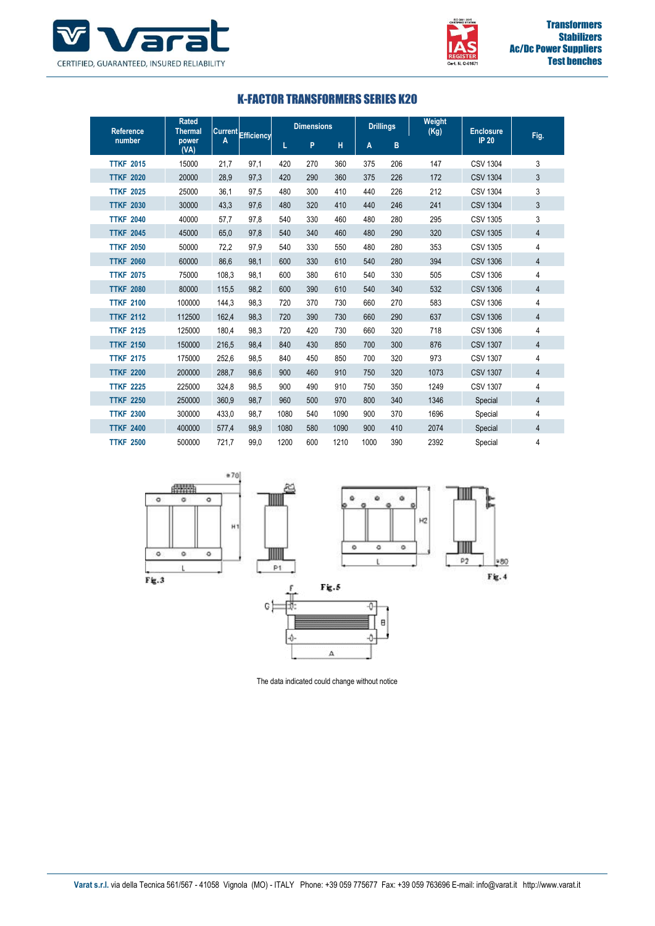



#### K-FACTOR TRANSFORMERS SERIES K20

| <b>Rated</b><br><b>Reference</b><br><b>Thermal</b> |               | Current Efficiency |      | <b>Dimensions</b> |     |      | <b>Drillings</b> |     | Weight<br>(Kg) | <b>Enclosure</b> | Fig.           |
|----------------------------------------------------|---------------|--------------------|------|-------------------|-----|------|------------------|-----|----------------|------------------|----------------|
| number                                             | power<br>(VA) |                    |      |                   | P   | н    | A                | B   |                | <b>IP 20</b>     |                |
| <b>TTKF 2015</b>                                   | 15000         | 21,7               | 97,1 | 420               | 270 | 360  | 375              | 206 | 147            | <b>CSV 1304</b>  | 3              |
| <b>TTKF 2020</b>                                   | 20000         | 28.9               | 97,3 | 420               | 290 | 360  | 375              | 226 | 172            | <b>CSV 1304</b>  | 3              |
| <b>TTKF 2025</b>                                   | 25000         | 36,1               | 97,5 | 480               | 300 | 410  | 440              | 226 | 212            | <b>CSV 1304</b>  | 3              |
| <b>TTKF 2030</b>                                   | 30000         | 43,3               | 97,6 | 480               | 320 | 410  | 440              | 246 | 241            | <b>CSV 1304</b>  | 3              |
| <b>TTKF 2040</b>                                   | 40000         | 57,7               | 97.8 | 540               | 330 | 460  | 480              | 280 | 295            | <b>CSV 1305</b>  | 3              |
| <b>TTKF 2045</b>                                   | 45000         | 65.0               | 97.8 | 540               | 340 | 460  | 480              | 290 | 320            | <b>CSV 1305</b>  | 4              |
| <b>TTKF 2050</b>                                   | 50000         | 72,2               | 97,9 | 540               | 330 | 550  | 480              | 280 | 353            | <b>CSV 1305</b>  | 4              |
| <b>TTKF 2060</b>                                   | 60000         | 86,6               | 98,1 | 600               | 330 | 610  | 540              | 280 | 394            | <b>CSV 1306</b>  | $\overline{4}$ |
| <b>TTKF 2075</b>                                   | 75000         | 108.3              | 98,1 | 600               | 380 | 610  | 540              | 330 | 505            | <b>CSV 1306</b>  | 4              |
| <b>TTKF 2080</b>                                   | 80000         | 115,5              | 98,2 | 600               | 390 | 610  | 540              | 340 | 532            | <b>CSV 1306</b>  | 4              |
| <b>TTKF 2100</b>                                   | 100000        | 144,3              | 98,3 | 720               | 370 | 730  | 660              | 270 | 583            | <b>CSV 1306</b>  | 4              |
| <b>TTKF 2112</b>                                   | 112500        | 162.4              | 98,3 | 720               | 390 | 730  | 660              | 290 | 637            | <b>CSV 1306</b>  | 4              |
| <b>TTKF 2125</b>                                   | 125000        | 180.4              | 98,3 | 720               | 420 | 730  | 660              | 320 | 718            | <b>CSV 1306</b>  | 4              |
| <b>TTKF 2150</b>                                   | 150000        | 216.5              | 98.4 | 840               | 430 | 850  | 700              | 300 | 876            | <b>CSV 1307</b>  | $\overline{4}$ |
| <b>TTKF 2175</b>                                   | 175000        | 252,6              | 98,5 | 840               | 450 | 850  | 700              | 320 | 973            | <b>CSV 1307</b>  | 4              |
| <b>TTKF 2200</b>                                   | 200000        | 288.7              | 98,6 | 900               | 460 | 910  | 750              | 320 | 1073           | <b>CSV 1307</b>  | $\overline{4}$ |
| <b>TTKF 2225</b>                                   | 225000        | 324.8              | 98,5 | 900               | 490 | 910  | 750              | 350 | 1249           | <b>CSV 1307</b>  | 4              |
| <b>TTKF 2250</b>                                   | 250000        | 360.9              | 98,7 | 960               | 500 | 970  | 800              | 340 | 1346           | Special          | $\overline{4}$ |
| <b>TTKF 2300</b>                                   | 300000        | 433,0              | 98,7 | 1080              | 540 | 1090 | 900              | 370 | 1696           | Special          | 4              |
| <b>TTKF 2400</b>                                   | 400000        | 577,4              | 98.9 | 1080              | 580 | 1090 | 900              | 410 | 2074           | Special          | 4              |
| <b>TTKF 2500</b>                                   | 500000        | 721.7              | 99.0 | 1200              | 600 | 1210 | 1000             | 390 | 2392           | Special          | 4              |



The data indicated could change without notice